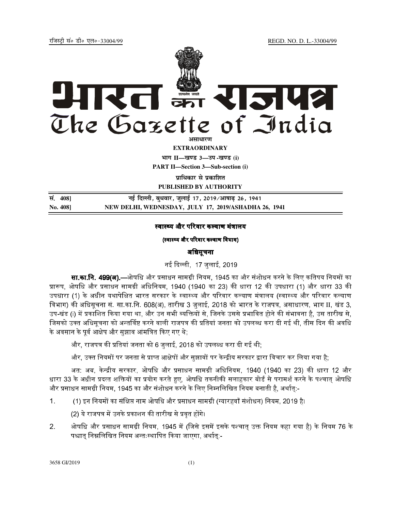jftLVªh laö Mhö ,yö&33004@99 REGD. NO. D. L.-33004/99



**EXTRAORDINARY Hkkx II—[k.M 3—mi -[k.M (i) PART II—Section 3—Sub-section (i)** 

*u***italized with uniformal** 

**PUBLISHED BY AUTHORITY**

<u>Riar (108)</u><br>The Figure of Figure of the set of the 17, 2019/आषाढ़ 26, 1941 **No. 408] NEW DELHI, WEDNESDAY, JULY 17, 2019/ASHADHA 26, 1941** 

### स्वास्थ्य और परिवार कल्याण मंत्रालय

### (स्वास्थ्य और परिवार कल्याण विभाग)

# अिधसूचना

नई दिल्ली, 17 जलाई, 2019<br>

**सा.का.नि. 499(अ).**—ओषधि और प्रसाधन सामग्री नियम. 1945 का और संशोधन करने के लिए कतिपय नियमों का , प्रारूप, ओषधि और प्रसाधन सामग्री अधिनियम, 1940 (1940 का 23) की धारा 12 की उपधारा (1) और धारा 33 की उपधारा (1) के अधीन यथापेक्षित भारत सरकार के स्वास्थ्य और परिवार कल्याण मंत्रालय (स्वास्थ्य और परिवार कल्याण विभाग) की अधिसूचना सं. सा.का.नि. 608(अ), तारीख 3 जुलाई, 2018 को भारत के राजपत्र, असाधारण, भाग II, खंड 3, उप-खंड (i) में प्रकाशित किया गया था, और उन सभी व्यक्तियों से, जिनके उससे प्रभावित होने की संभावना है, उस तारीख से, जिसको उक्त अधिसृचना को अन्तर्विष्ट करने वाली राजपत्र की प्रतियां जनता को उपलब्ध करा दी गई थी, तीस दिन की अवधि के अवसान के पूर्व आक्षेप और सुझाव आंमत्रित किए गए थे;

और, राजपत्र की प्रतियां जनता को 6 जुलाई, 2018 को उपलब्ध करा दी गई थी;

और, उक्त नियमों पर जनता से प्राप्त आक्षेपों और सुझावों पर केन्द्रीय सरकार द्वारा विचार कर लिया गया है;

अत: अब, केन्द्रीय सरकार, ओषधि और प्रसाधन सामग्री अधिनियम, 1940 (1940 का 23) की धारा 12 और धारा 33 के अधीन प्रदत्त शक्तियों का प्रयोग करते हुए. ओषधि तकनीकी सलाहकार बोर्ड से परामर्श करने के पश्चात ओषधि और प्रसाधन सामग्री नियम, 1945 का और संशोधन करने के लिए निम्नलिखित नियम बनाती है, अर्थात्:-

1. (1) O#P और DQ2&R संशोधन) िनयम, 2019 है।

(2) ये राजपत्र में उनके प्रकाशन की तारीख से प्रवृत होंगे।

2. ओषधि और प्रसाधन सामग्री नियम. 1945 में (जिसे इसमें इसके पश्चात उक्त नियम कहा गया है) के नियम 76 के पश्चात निम्नलिखित नियम अन्तःस्थापित किया जाएगा, अर्थात:-

3658 GI/2019 (1)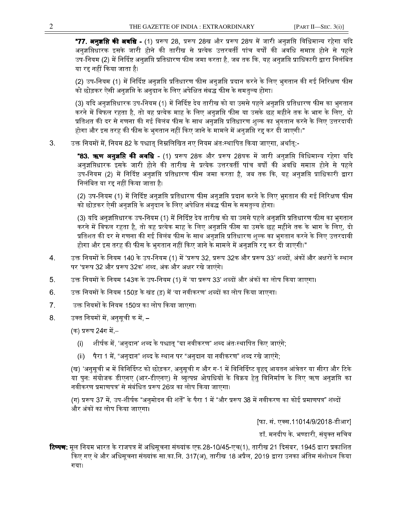**"77. अनुज्ञप्ति की अवधि -** (1) प्ररूप 28, प्ररूप 28ख और प्ररूप 28घ में जारी अनुज्ञप्ति विधिमान्य रहेगा यदि अनुज्ञप्तिधारक इसके जारी होने की तारीख से प्रत्येक उत्तरवर्ती पांच वर्षों की अवधि समाप्त होने से पहले उप-नियम (2) में निर्दिष्ट अनुज्ञप्ति प्रतिधारण फीस जमा करता है, जब तक कि, यह अनुज्ञप्ति प्राधिकारी द्वारा निलंबित या रद्द नहीं किया जाता है।

(2) उप-नियम (1) में निर्दिष्ट अनुज्ञप्ति प्रतिधारण फीस अनुज्ञप्ति प्रदान करने के लिए भुगतान की गई निरिक्षण फीस को छोड़कर ऐसी अनुज्ञप्ति के अनुदान के लिए अपेक्षित संबद्ध फीस के समतुल्य होगा।

(3) यदि अनुज्ञप्तिधारक उप-नियम (1) में निर्दिष्ट देय तारीख को या उससे पहले अनुज्ञप्ति प्रतिधारण फीस का भुगतान करने में विफल रहता है, तो वह प्रत्येक माह के लिए अनुज्ञप्ति फीस या उसके छह महीने तक के भाग के लिए, दो प्रतिशत की दर से गणना की गई विलंब फीस के साथ अनुज्ञप्ति प्रतिधारण शुल्क का भुगतान करने के लिए उत्तरदायी होगा और इस तरह की फीस के भुगतान नहीं किए जाने के मामले में अनुज्ञप्ति रद्द कर दी जाएगी।"

उक्त नियमों में, नियम 82 के पश्चात निम्नलिखित नए नियम अंतःस्थापित किया जाएगा, अर्थात्:- $3<sup>1</sup>$ 

> **"83. ऋण अनुज्ञप्ति की अवधि -** (1) प्ररूप 28क और प्ररूप 28घक में जारी अनुज्ञप्ति विधिमान्य रहेगा यदि अनुज्ञप्तिधारक इसके जारी होने की तारीख से प्रत्येक उत्तरवर्ती पांच वर्षों की अवधि समाप्त होने से पहले उप-नियम (2) में निर्दिष्ट अनुज्ञप्ति प्रतिधारण फीस जमा करता है, जब तक कि, यह अनुज्ञप्ति प्राधिकारी द्वारा निलंबित या रद्द नहीं किया जाता है।

> (2) उप-नियम (1) में निर्दिष्ट अनुज्ञप्ति प्रतिधारण फीस अनुज्ञप्ति प्रदान करने के लिए भुगतान की गई निरिक्षण फीस को छोड़कर ऐसी अनुज्ञप्ति के अनुदान के लिए अपेक्षित संबद्ध फीस के समतुल्य होगा।

> (3) यदि अनुज्ञप्तिधारक उप-नियम (1) में निर्दिष्ट देय तारीख को या उससे पहले अनुज्ञप्ति प्रतिधारण फीस का भुगतान करने में विफल रहता है, तो वह प्रत्येक माह के लिए अनुज्ञप्ति फीस या उसके छह महीने तक के भाग के लिए, दो प्रतिशत की दर से गणना की गई विलंब फीस के साथ अनुज्ञप्ति प्रतिधारण शुल्क का भुगतान करने के लिए उत्तरदायी होगा और इस तरह की फीस के भगतान नहीं किए जाने के मामले में अनुज्ञप्ति रद्द कर दी जाएगी।"

- उक्त नियमों के नियम 140 के उप-नियम (1) में 'प्ररूप 32, प्ररूप 32क और प्ररूप 33' शब्दों, अंकों और अक्षरों के स्थान 4. पर 'प्ररूप 32 और प्ररूप 32क' शब्द, अंक और अक्षर रखे जाएंगे।
- उक्त नियमों के नियम 143क के उप-नियम (1) में 'या प्ररूप 33' शब्दों और अंकों का लोप किया जाएगा। 5.
- 6. उक्त नियमों के नियम 150ड़ के खंड (ड़) में 'या नवीकरण' शब्दों का लोप किया जाएगा।
- $7.$ उक्त नियमों के नियम 150ञ का लोप किया जाएगा।
- 8. उक्त नियमों में, अनुसूची क में, –

(क) प्ररूप 24ग में –

- शीर्षक में. 'अनुदान' शब्द के पश्चात "या नवीकरण" शब्द अंतःस्थापित किए जाएंगे:  $(i)$
- पैरा 1 में, "अनुदान" शब्द के स्थान पर "अनुदान या नवीकरण" शब्द रखे जाएंगे;  $(ii)$

(ख) 'अनुसूची भ में विनिर्दिष्ट को छोड़कर, अनुसूची ग और ग-1 में विनिर्दिष्ट वृहद् आयतन आंत्रेतर या सीरा और टिके या पुन: संयोजक डीएनए (आर-डीएनए) से व्युत्पन्न ओषधियों के विक्रय हेतु विनिर्माण के लिए ऋण अनुज्ञप्ति का नवीकरण प्रमाणपत्र' से संबंधित प्ररूप 26ञ का लोप किया जाएगा।

(ग) प्ररूप 37 में, उप-शीर्षक "अनुमोदन की शर्तें" के पैरा 1 में "और प्ररूप 38 में नवीकरण का कोई प्रमाणपत्र" शब्दों और अंकों का लोप किया जाएगा।

[फा. सं. एक्स.11014/9/2018-डीआर]

डॉ. मनदीप के. भण्डारी. संयक्त सचिव

**टिप्पण:** मूल नियम भारत के राजपत्र में अधिसूचना संख्यांक एफ.28-10/45-एच(1), तारीख 21 दिसंबर, 1945 द्वारा प्रकाशित किए गए थे और अधिसूचना संख्यांक सा.का.नि. 317(अ), तारीख 18 अप्रैल, 2019 द्वारा उनका अंतिम संशोधन किया गया।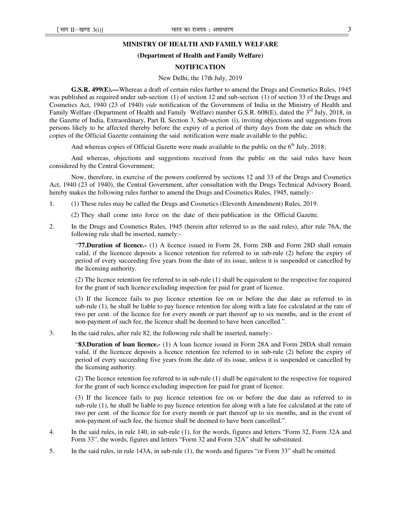## **MINISTRY OF HEALTH AND FAMILY WELFARE**

#### **(Department of Health and Family Welfare)**

### **NOTIFICATION**

#### New Delhi, the 17th July, 2019

**G.S.R. 499(E).—**Whereas a draft of certain rules further to amend the Drugs and Cosmetics Rules, 1945 was published as required under sub-section (1) of section 12 and sub-section (1) of section 33 of the Drugs and Cosmetics Act, 1940 (23 of 1940) *vide* notification of the Government of India in the Ministry of Health and Family Welfare (Department of Health and Family Welfare) number G.S.R. 608(E), dated the 3<sup>rd</sup> July, 2018, in the Gazette of India, Extraordinary, Part II, Section 3, Sub-section (i), inviting objections and suggestions from persons likely to be affected thereby before the expiry of a period of thirty days from the date on which the copies of the Official Gazette containing the said notification were made available to the public;

And whereas copies of Official Gazette were made available to the public on the  $6<sup>th</sup>$  July, 2018;

And whereas, objections and suggestions received from the public on the said rules have been considered by the Central Government;

Now, therefore, in exercise of the powers conferred by sections 12 and 33 of the Drugs and Cosmetics Act, 1940 (23 of 1940), the Central Government, after consultation with the Drugs Technical Advisory Board, hereby makes the following rules further to amend the Drugs and Cosmetics Rules, 1945, namely:-

1. (1) These rules may be called the Drugs and Cosmetics (Eleventh Amendment) Rules, 2019.

(2) They shall come into force on the date of their publication in the Official Gazette.

2. In the Drugs and Cosmetics Rules, 1945 (herein after referred to as the said rules), after rule 76A, the following rule shall be inserted, namely:-

"**77.Duration of licence.-** (1) A licence issued in Form 28, Form 28B and Form 28D shall remain valid, if the licencee deposits a licence retention fee referred to in sub-rule (2) before the expiry of period of every succeeding five years from the date of its issue, unless it is suspended or cancelled by the licensing authority.

(2) The licence retention fee referred to in sub-rule (1) shall be equivalent to the respective fee required for the grant of such licence excluding inspection fee paid for grant of licence.

(3) If the licencee fails to pay licence retention fee on or before the due date as referred to in sub-rule (1), he shall be liable to pay licence retention fee along with a late fee calculated at the rate of two per cent. of the licence fee for every month or part thereof up to six months, and in the event of non-payment of such fee, the licence shall be deemed to have been cancelled.".

3. In the said rules, after rule 82, the following rule shall be inserted, namely:-

"**83.Duration of loan licence.-** (1) A loan licence issued in Form 28A and Form 28DA shall remain valid, if the licencee deposits a licence retention fee referred to in sub-rule (2) before the expiry of period of every succeeding five years from the date of its issue, unless it is suspended or cancelled by the licensing authority.

(2) The licence retention fee referred to in sub-rule (1) shall be equivalent to the respective fee required for the grant of such licence excluding inspection fee paid for grant of licence.

(3) If the licencee fails to pay licence retention fee on or before the due date as referred to in sub-rule (1), he shall be liable to pay licence retention fee along with a late fee calculated at the rate of two per cent. of the licence fee for every month or part thereof up to six months, and in the event of non-payment of such fee, the licence shall be deemed to have been cancelled.".

- 4. In the said rules, in rule 140, in sub-rule (1), for the words, figures and letters "Form 32, Form 32A and Form 33", the words, figures and letters "Form 32 and Form 32A" shall be substituted.
- 5. In the said rules, in rule 143A, in sub-rule (1), the words and figures "or Form 33" shall be omitted.